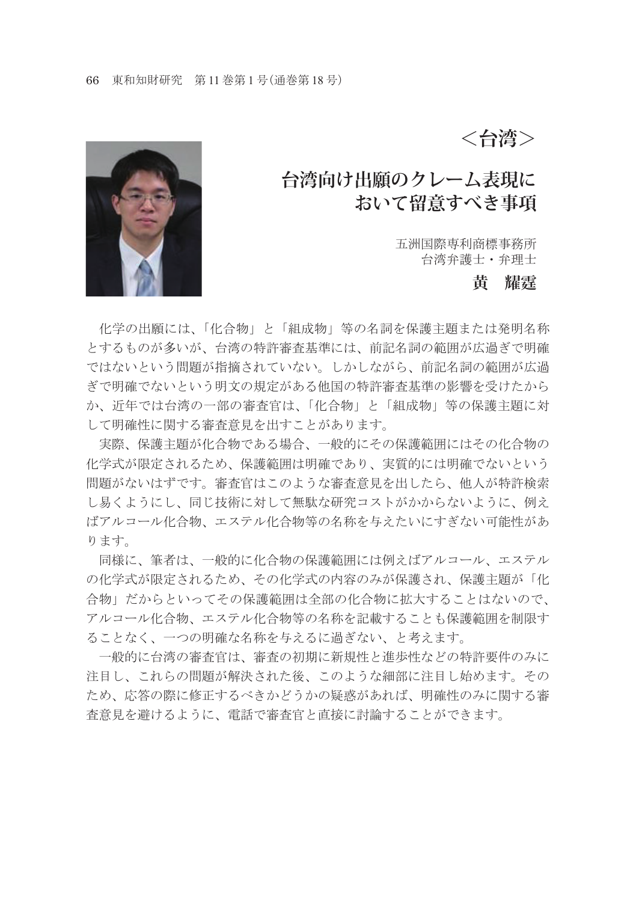**<台湾>**

## **台湾向け出願のクレーム表現に おいて留意すべき事項**

五洲国際専利商標事務所 台湾弁護士・弁理士

#### **黄 耀霆**



 化学の出願には、「化合物」と「組成物」等の名詞を保護主題または発明名称 とするものが多いが、台湾の特許審査基準には、前記名詞の範囲が広過ぎで明確 ではないという問題が指摘されていない。しかしながら、前記名詞の範囲が広過 ぎで明確でないという明文の規定がある他国の特許審査基準の影響を受けたから か、近年では台湾の一部の審査官は、「化合物」と「組成物」等の保護主題に対 して明確性に関する審査意見を出すことがあります。

 実際、保護主題が化合物である場合、一般的にその保護範囲にはその化合物の 化学式が限定されるため、保護範囲は明確であり、実質的には明確でないという 問題がないはずです。審査官はこのような審査意見を出したら、他人が特許検索 し易くようにし、同じ技術に対して無駄な研究コストがかからないように、例え ばアルコール化合物、エステル化合物等の名称を与えたいにすぎない可能性があ ります。

 同様に、筆者は、一般的に化合物の保護範囲には例えばアルコール、エステル の化学式が限定されるため、その化学式の内容のみが保護され、保護主題が「化 合物」だからといってその保護範囲は全部の化合物に拡大することはないので、 アルコール化合物、エステル化合物等の名称を記載することも保護範囲を制限す ることなく、一つの明確な名称を与えるに過ぎない、と考えます。

 一般的に台湾の審査官は、審査の初期に新規性と進歩性などの特許要件のみに 注目し、これらの問題が解決された後、このような細部に注目し始めます。その ため、応答の際に修正するべきかどうかの疑惑があれば、明確性のみに関する審 査意見を避けるように、電話で審査官と直接に討論することができます。